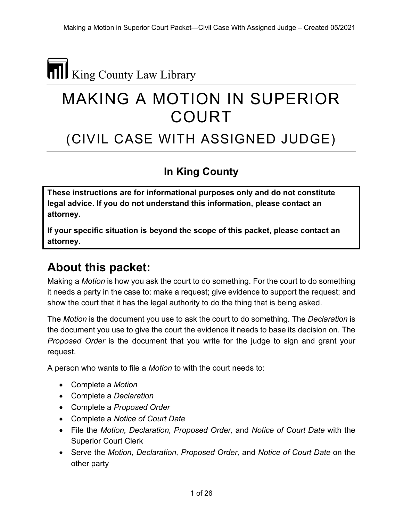# King County Law Library

# MAKING A MOTION IN SUPERIOR COURT

# (CIVIL CASE WITH ASSIGNED JUDGE)

#### **In King County**

**These instructions are for informational purposes only and do not constitute legal advice. If you do not understand this information, please contact an attorney.**

**If your specific situation is beyond the scope of this packet, please contact an attorney.**

#### **About this packet:**

Making a *Motion* is how you ask the court to do something. For the court to do something it needs a party in the case to: make a request; give evidence to support the request; and show the court that it has the legal authority to do the thing that is being asked.

The *Motion* is the document you use to ask the court to do something. The *Declaration* is the document you use to give the court the evidence it needs to base its decision on. The *Proposed Order* is the document that you write for the judge to sign and grant your request.

A person who wants to file a *Motion* to with the court needs to:

- Complete a *Motion*
- Complete a *Declaration*
- Complete a *Proposed Order*
- Complete a *Notice of Court Date*
- File the *Motion, Declaration, Proposed Order,* and *Notice of Court Date* with the Superior Court Clerk
- Serve the *Motion, Declaration, Proposed Order,* and *Notice of Court Date* on the other party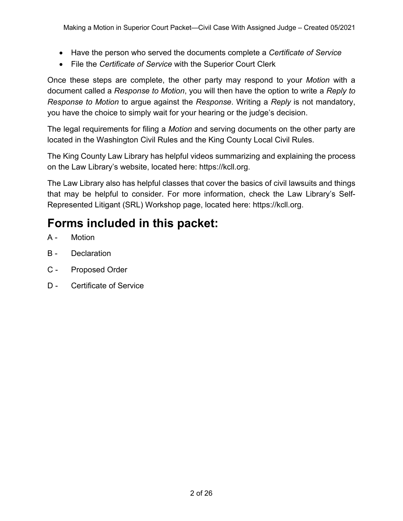- Have the person who served the documents complete a *Certificate of Service*
- File the *Certificate of Service* with the Superior Court Clerk

Once these steps are complete, the other party may respond to your *Motion* with a document called a *Response to Motion*, you will then have the option to write a *Reply to Response to Motion* to argue against the *Response*. Writing a *Reply* is not mandatory, you have the choice to simply wait for your hearing or the judge's decision.

The legal requirements for filing a *Motion* and serving documents on the other party are located in the Washington Civil Rules and the King County Local Civil Rules.

The King County Law Library has helpful videos summarizing and explaining the process on the Law Library's website, located here: https://kcll.org.

The Law Library also has helpful classes that cover the basics of civil lawsuits and things that may be helpful to consider. For more information, check the Law Library's Self-Represented Litigant (SRL) Workshop page, located here: https://kcll.org.

## **Forms included in this packet:**

- A Motion
- B Declaration
- C Proposed Order
- D Certificate of Service